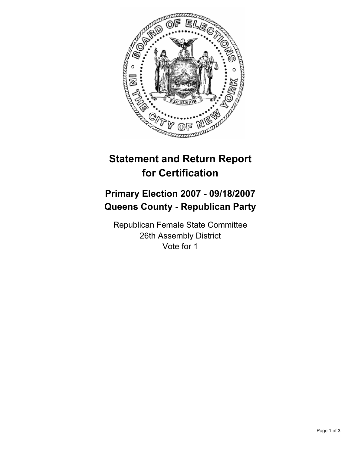

## **Statement and Return Report for Certification**

## **Primary Election 2007 - 09/18/2007 Queens County - Republican Party**

Republican Female State Committee 26th Assembly District Vote for 1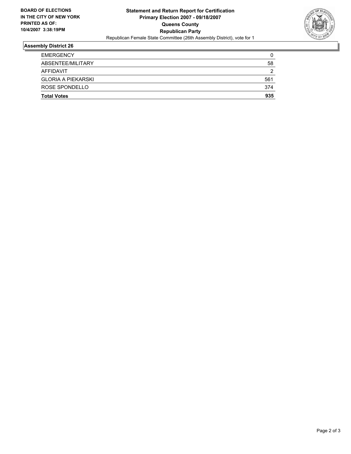

## **Assembly District 26**

| AFFIDAVIT<br><b>GLORIA A PIEKARSKI</b> | ◠<br>561 |
|----------------------------------------|----------|
| ROSE SPONDELLO                         | 374      |
| <b>Total Votes</b>                     | 935      |